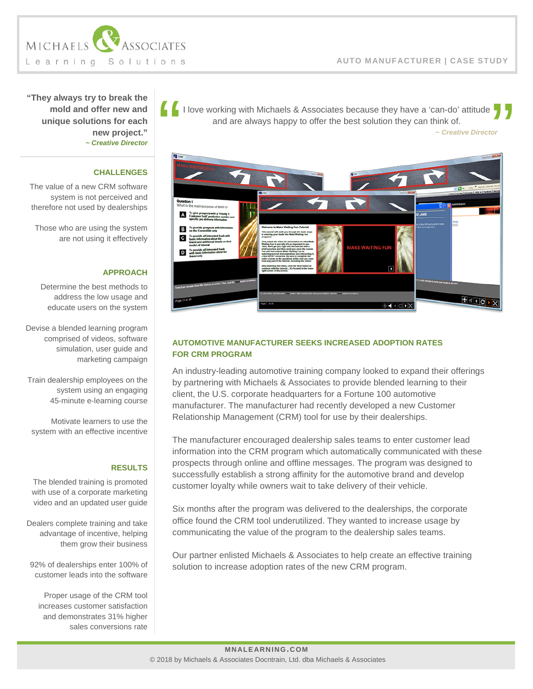*~ Creative Director*



**"They always try to break the mold and offer new and unique solutions for each new project."** *~ Creative Director*

### **CHALLENGES**

The value of a new CRM software system is not perceived and therefore not used by dealerships

Those who are using the system are not using it effectively

# **APPROACH**

Determine the best methods to address the low usage and educate users on the system

Devise a blended learning program comprised of videos, software simulation, user guide and marketing campaign

Train dealership employees on the system using an engaging 45-minute e-learning course

Motivate learners to use the system with an effective incentive

#### **RESULTS**

The blended training is promoted with use of a corporate marketing video and an updated user guide

Dealers complete training and take advantage of incentive, helping them grow their business

92% of dealerships enter 100% of customer leads into the software

Proper usage of the CRM tool increases customer satisfaction and demonstrates 31% higher sales conversions rate



I love working with Michaels & Associates because they have a 'can-do' attitude and are always happy to offer the best solution they can think of.

# **AUTOMOTIVE MANUFACTURER SEEKS INCREASED ADOPTION RATES FOR CRM PROGRAM**

An industry-leading automotive training company looked to expand their offerings by partnering with Michaels & Associates to provide blended learning to their client, the U.S. corporate headquarters for a Fortune 100 automotive manufacturer. The manufacturer had recently developed a new Customer Relationship Management (CRM) tool for use by their dealerships.

The manufacturer encouraged dealership sales teams to enter customer lead information into the CRM program which automatically communicated with these prospects through online and offline messages. The program was designed to successfully establish a strong affinity for the automotive brand and develop customer loyalty while owners wait to take delivery of their vehicle.

Six months after the program was delivered to the dealerships, the corporate office found the CRM tool underutilized. They wanted to increase usage by communicating the value of the program to the dealership sales teams.

Our partner enlisted Michaels & Associates to help create an effective training solution to increase adoption rates of the new CRM program.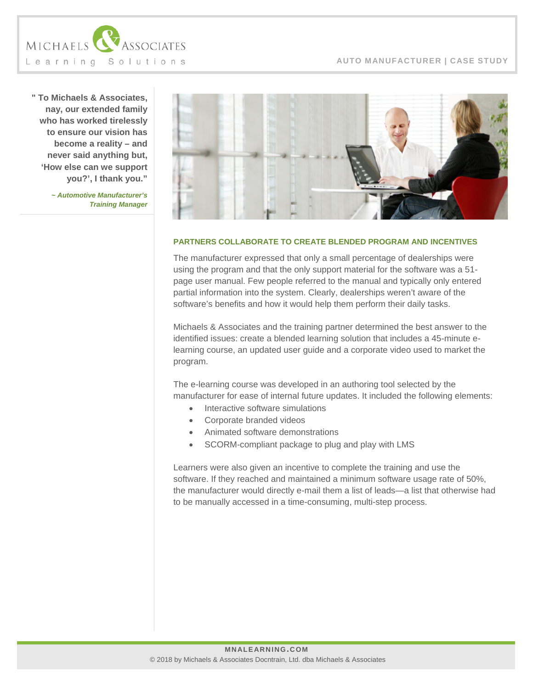

**" To Michaels & Associates, nay, our extended family who has worked tirelessly to ensure our vision has become a reality – and never said anything but, 'How else can we support you?', I thank you."**

> *~ Automotive Manufacturer's Training Manager*



#### **PARTNERS COLLABORATE TO CREATE BLENDED PROGRAM AND INCENTIVES**

The manufacturer expressed that only a small percentage of dealerships were using the program and that the only support material for the software was a 51 page user manual. Few people referred to the manual and typically only entered partial information into the system. Clearly, dealerships weren't aware of the software's benefits and how it would help them perform their daily tasks.

Michaels & Associates and the training partner determined the best answer to the identified issues: create a blended learning solution that includes a 45-minute elearning course, an updated user guide and a corporate video used to market the program.

The e-learning course was developed in an authoring tool selected by the manufacturer for ease of internal future updates. It included the following elements:

- Interactive software simulations
- Corporate branded videos
- Animated software demonstrations
- SCORM-compliant package to plug and play with LMS

Learners were also given an incentive to complete the training and use the software. If they reached and maintained a minimum software usage rate of 50%, the manufacturer would directly e-mail them a list of leads—a list that otherwise had to be manually accessed in a time-consuming, multi-step process.